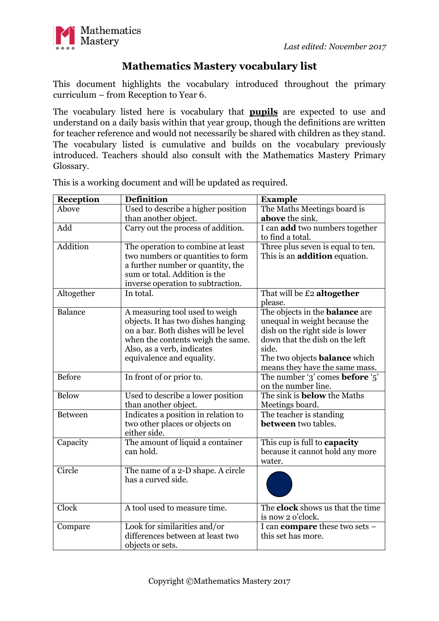

## **Mathematics Mastery vocabulary list**

This document highlights the vocabulary introduced throughout the primary curriculum – from Reception to Year 6.

The vocabulary listed here is vocabulary that **pupils** are expected to use and understand on a daily basis within that year group, though the definitions are written for teacher reference and would not necessarily be shared with children as they stand. The vocabulary listed is cumulative and builds on the vocabulary previously introduced. Teachers should also consult with the Mathematics Mastery Primary Glossary.

| Reception      | <b>Definition</b>                                                                                                                                                                                           | <b>Example</b>                                                                                                                                                                                                                 |
|----------------|-------------------------------------------------------------------------------------------------------------------------------------------------------------------------------------------------------------|--------------------------------------------------------------------------------------------------------------------------------------------------------------------------------------------------------------------------------|
| Above          | Used to describe a higher position<br>than another object.                                                                                                                                                  | The Maths Meetings board is<br>above the sink.                                                                                                                                                                                 |
| Add            | Carry out the process of addition.                                                                                                                                                                          | I can add two numbers together<br>to find a total.                                                                                                                                                                             |
| Addition       | The operation to combine at least<br>two numbers or quantities to form<br>a further number or quantity, the<br>sum or total. Addition is the<br>inverse operation to subtraction.                           | Three plus seven is equal to ten.<br>This is an addition equation.                                                                                                                                                             |
| Altogether     | In total.                                                                                                                                                                                                   | That will be £2 altogether<br>please.                                                                                                                                                                                          |
| Balance        | A measuring tool used to weigh<br>objects. It has two dishes hanging<br>on a bar. Both dishes will be level<br>when the contents weigh the same.<br>Also, as a verb, indicates<br>equivalence and equality. | The objects in the <b>balance</b> are<br>unequal in weight because the<br>dish on the right side is lower<br>down that the dish on the left<br>side.<br>The two objects <b>balance</b> which<br>means they have the same mass. |
| <b>Before</b>  | In front of or prior to.                                                                                                                                                                                    | The number '3' comes <b>before</b> '5'<br>on the number line.                                                                                                                                                                  |
| <b>Below</b>   | Used to describe a lower position<br>than another object.                                                                                                                                                   | The sink is <b>below</b> the Maths<br>Meetings board.                                                                                                                                                                          |
| <b>Between</b> | Indicates a position in relation to<br>two other places or objects on<br>either side.                                                                                                                       | The teacher is standing<br><b>between</b> two tables.                                                                                                                                                                          |
| Capacity       | The amount of liquid a container<br>can hold.                                                                                                                                                               | This cup is full to capacity<br>because it cannot hold any more<br>water.                                                                                                                                                      |
| Circle         | The name of a 2-D shape. A circle<br>has a curved side.                                                                                                                                                     |                                                                                                                                                                                                                                |
| Clock          | A tool used to measure time.                                                                                                                                                                                | The <b>clock</b> shows us that the time<br>is now 2 o'clock.                                                                                                                                                                   |
| Compare        | Look for similarities and/or<br>differences between at least two<br>objects or sets.                                                                                                                        | I can <b>compare</b> these two sets -<br>this set has more.                                                                                                                                                                    |

This is a working document and will be updated as required.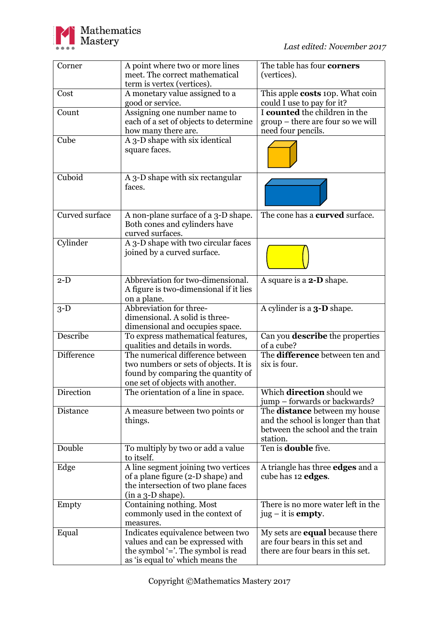

| Corner            | A point where two or more lines        | The table has four corners                          |
|-------------------|----------------------------------------|-----------------------------------------------------|
|                   | meet. The correct mathematical         |                                                     |
|                   |                                        | (vertices).                                         |
|                   | term is vertex (vertices).             |                                                     |
| Cost              | A monetary value assigned to a         | This apple <b>costs</b> 10p. What coin              |
|                   | good or service.                       | could I use to pay for it?                          |
| Count             | Assigning one number name to           | I counted the children in the                       |
|                   | each of a set of objects to determine  | group – there are four so we will                   |
|                   | how many there are.                    | need four pencils.                                  |
| Cube              | A 3-D shape with six identical         |                                                     |
|                   | square faces.                          |                                                     |
|                   |                                        |                                                     |
|                   |                                        |                                                     |
| Cuboid            | A 3-D shape with six rectangular       |                                                     |
|                   | faces.                                 |                                                     |
|                   |                                        |                                                     |
|                   |                                        |                                                     |
|                   |                                        |                                                     |
| Curved surface    | A non-plane surface of a 3-D shape.    | The cone has a <b>curved</b> surface.               |
|                   | Both cones and cylinders have          |                                                     |
|                   | curved surfaces.                       |                                                     |
| Cylinder          | A 3-D shape with two circular faces    |                                                     |
|                   | joined by a curved surface.            |                                                     |
|                   |                                        |                                                     |
|                   |                                        |                                                     |
| $2-D$             | Abbreviation for two-dimensional.      | A square is a <b>2-D</b> shape.                     |
|                   | A figure is two-dimensional if it lies |                                                     |
|                   | on a plane.                            |                                                     |
| $3-D$             | Abbreviation for three-                | A cylinder is a <b>3-D</b> shape.                   |
|                   | dimensional. A solid is three-         |                                                     |
|                   | dimensional and occupies space.        |                                                     |
| Describe          | To express mathematical features,      | Can you <b>describe</b> the properties              |
|                   |                                        |                                                     |
| <b>Difference</b> | qualities and details in words.        | of a cube?<br>The <b>difference</b> between ten and |
|                   | The numerical difference between       |                                                     |
|                   | two numbers or sets of objects. It is  | six is four.                                        |
|                   | found by comparing the quantity of     |                                                     |
|                   | one set of objects with another.       |                                                     |
| Direction         | The orientation of a line in space.    | Which <b>direction</b> should we                    |
|                   |                                        | jump – forwards or backwards?                       |
| Distance          | A measure between two points or        | The <b>distance</b> between my house                |
|                   | things.                                | and the school is longer than that                  |
|                   |                                        | between the school and the train                    |
|                   |                                        | station.                                            |
| Double            | To multiply by two or add a value      | Ten is <b>double</b> five.                          |
|                   | to itself.                             |                                                     |
| Edge              | A line segment joining two vertices    | A triangle has three <b>edges</b> and a             |
|                   | of a plane figure (2-D shape) and      | cube has 12 edges.                                  |
|                   | the intersection of two plane faces    |                                                     |
|                   |                                        |                                                     |
|                   | $(in a 3-D shape).$                    |                                                     |
| Empty             | Containing nothing. Most               | There is no more water left in the                  |
|                   | commonly used in the context of        | $jug - it$ is <b>empty</b> .                        |
|                   | measures.                              |                                                     |
| Equal             | Indicates equivalence between two      | My sets are <b>equal</b> because there              |
|                   | values and can be expressed with       | are four bears in this set and                      |
|                   | the symbol $=$ . The symbol is read    | there are four bears in this set.                   |
|                   | as 'is equal to' which means the       |                                                     |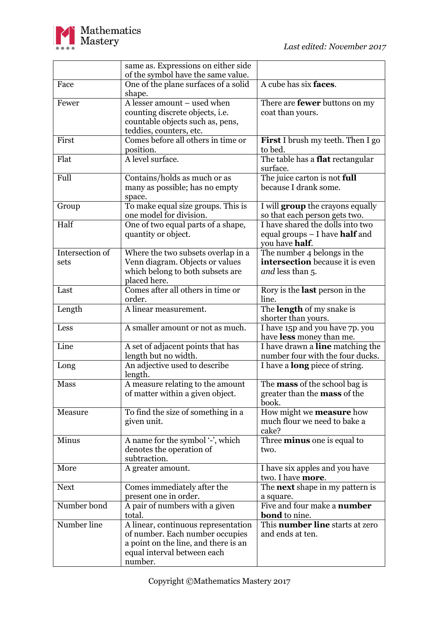

|                 | same as. Expressions on either side      |                                                     |
|-----------------|------------------------------------------|-----------------------------------------------------|
|                 | of the symbol have the same value.       |                                                     |
| Face            | One of the plane surfaces of a solid     | A cube has six faces.                               |
|                 | shape.                                   |                                                     |
| Fewer           | A lesser amount - used when              | There are <b>fewer</b> buttons on my                |
|                 | counting discrete objects, i.e.          | coat than yours.                                    |
|                 | countable objects such as, pens,         |                                                     |
|                 | teddies, counters, etc.                  |                                                     |
| First           | Comes before all others in time or       | <b>First</b> I brush my teeth. Then I go            |
|                 | position.                                | to bed.                                             |
| Flat            | A level surface.                         | The table has a <b>flat</b> rectangular             |
|                 |                                          | surface.                                            |
| Full            | Contains/holds as much or as             | The juice carton is not full                        |
|                 | many as possible; has no empty           | because I drank some.                               |
|                 | space.                                   |                                                     |
| Group           | To make equal size groups. This is       | I will <b>group</b> the crayons equally             |
|                 | one model for division.                  | so that each person gets two.                       |
| Half            | One of two equal parts of a shape,       | I have shared the dolls into two                    |
|                 | quantity or object.                      | equal groups $-$ I have <b>half</b> and             |
|                 |                                          | you have <b>half</b> .                              |
| Intersection of | Where the two subsets overlap in a       | The number 4 belongs in the                         |
| sets            | Venn diagram. Objects or values          | intersection because it is even                     |
|                 | which belong to both subsets are         | and less than 5.                                    |
|                 | placed here.                             |                                                     |
| Last            | Comes after all others in time or        | Rory is the <b>last</b> person in the               |
|                 | order.                                   | line.                                               |
| Length          | A linear measurement.                    | The length of my snake is                           |
|                 |                                          | shorter than yours.                                 |
| Less            | A smaller amount or not as much.         | I have 15p and you have 7p. you                     |
|                 |                                          | have less money than me.                            |
| Line            | A set of adjacent points that has        | I have drawn a line matching the                    |
|                 | length but no width.                     | number four with the four ducks.                    |
| Long            | An adjective used to describe            | I have a <b>long</b> piece of string.               |
|                 | length.                                  |                                                     |
| Mass            | A measure relating to the amount         | The <b>mass</b> of the school bag is                |
|                 | of matter within a given object.         | greater than the <b>mass</b> of the                 |
|                 |                                          | book.                                               |
| Measure         | To find the size of something in a       | How might we <b>measure</b> how                     |
|                 | given unit.                              | much flour we need to bake a                        |
| Minus           |                                          | cake?                                               |
|                 | A name for the symbol '-', which         | Three <b>minus</b> one is equal to<br>two.          |
|                 | denotes the operation of<br>subtraction. |                                                     |
| More            |                                          |                                                     |
|                 | A greater amount.                        | I have six apples and you have<br>two. I have more. |
| <b>Next</b>     | Comes immediately after the              | The <b>next</b> shape in my pattern is              |
|                 | present one in order.                    |                                                     |
| Number bond     |                                          | a square.<br>Five and four make a <b>number</b>     |
|                 | A pair of numbers with a given<br>total. | <b>bond</b> to nine.                                |
| Number line     | A linear, continuous representation      | This number line starts at zero                     |
|                 | of number. Each number occupies          | and ends at ten.                                    |
|                 | a point on the line, and there is an     |                                                     |
|                 | equal interval between each              |                                                     |
|                 | number.                                  |                                                     |
|                 |                                          |                                                     |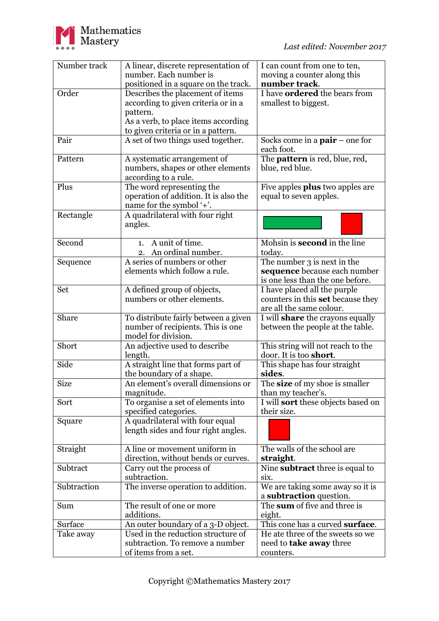

| Number track | A linear, discrete representation of  | I can count from one to ten,              |
|--------------|---------------------------------------|-------------------------------------------|
|              | number. Each number is                | moving a counter along this               |
|              | positioned in a square on the track.  | number track.                             |
| Order        | Describes the placement of items      | I have <b>ordered</b> the bears from      |
|              | according to given criteria or in a   | smallest to biggest.                      |
|              | pattern.                              |                                           |
|              | As a verb, to place items according   |                                           |
|              | to given criteria or in a pattern.    |                                           |
| Pair         | A set of two things used together.    | Socks come in a $pair$ – one for          |
|              |                                       | each foot.                                |
| Pattern      |                                       |                                           |
|              | A systematic arrangement of           | The <b>pattern</b> is red, blue, red,     |
|              | numbers, shapes or other elements     | blue, red blue.                           |
|              | according to a rule.                  |                                           |
| Plus         | The word representing the             | Five apples <b>plus</b> two apples are    |
|              | operation of addition. It is also the | equal to seven apples.                    |
|              | name for the symbol '+'.              |                                           |
| Rectangle    | A quadrilateral with four right       |                                           |
|              | angles.                               |                                           |
|              |                                       |                                           |
| Second       | 1. A unit of time.                    | Mohsin is <b>second</b> in the line       |
|              | 2. An ordinal number.                 | today.                                    |
| Sequence     | A series of numbers or other          | The number 3 is next in the               |
|              | elements which follow a rule.         | sequence because each number              |
|              |                                       | is one less than the one before.          |
| Set          | A defined group of objects,           | I have placed all the purple              |
|              | numbers or other elements.            | counters in this <b>set</b> because they  |
|              |                                       | are all the same colour.                  |
| Share        | To distribute fairly between a given  | I will <b>share</b> the crayons equally   |
|              | number of recipients. This is one     | between the people at the table.          |
|              | model for division.                   |                                           |
| Short        | An adjective used to describe         | This string will not reach to the         |
|              | length.                               | door. It is too short.                    |
| Side         | A straight line that forms part of    | This shape has four straight              |
|              | the boundary of a shape.              | sides.                                    |
| <b>Size</b>  | An element's overall dimensions or    | The size of my shoe is smaller            |
|              |                                       |                                           |
|              | magnitude.                            | than my teacher's.                        |
| Sort         | To organise a set of elements into    | I will <b>sort</b> these objects based on |
|              | specified categories.                 | their size.                               |
| Square       | A quadrilateral with four equal       |                                           |
|              | length sides and four right angles.   |                                           |
|              |                                       |                                           |
| Straight     | A line or movement uniform in         | The walls of the school are               |
|              | direction, without bends or curves.   | straight.                                 |
| Subtract     | Carry out the process of              | Nine subtract three is equal to           |
|              | subtraction.                          | six.                                      |
| Subtraction  | The inverse operation to addition.    | We are taking some away so it is          |
|              |                                       | a subtraction question.                   |
| Sum          | The result of one or more             | The sum of five and three is              |
|              | additions.                            | eight.                                    |
| Surface      | An outer boundary of a 3-D object.    | This cone has a curved surface.           |
| Take away    | Used in the reduction structure of    | He ate three of the sweets so we          |
|              | subtraction. To remove a number       | need to <b>take away</b> three            |
|              | of items from a set.                  | counters.                                 |
|              |                                       |                                           |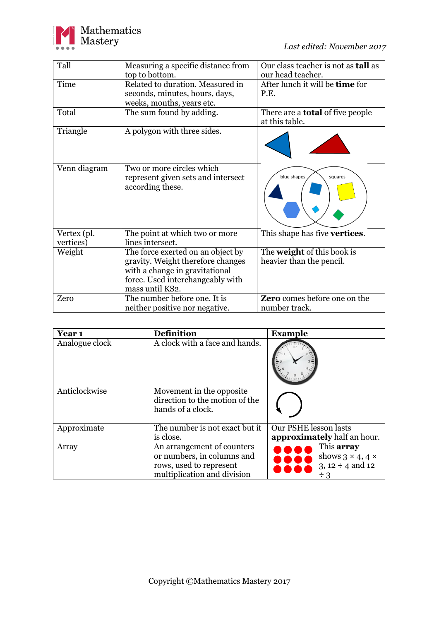

| Tall                     | Measuring a specific distance from<br>top to bottom.                                                                                                            | Our class teacher is not as <b>tall</b> as<br>our head teacher. |
|--------------------------|-----------------------------------------------------------------------------------------------------------------------------------------------------------------|-----------------------------------------------------------------|
| Time                     | Related to duration. Measured in<br>seconds, minutes, hours, days,<br>weeks, months, years etc.                                                                 | After lunch it will be time for<br>P.E.                         |
| Total                    | The sum found by adding.                                                                                                                                        | There are a <b>total</b> of five people<br>at this table.       |
| Triangle                 | A polygon with three sides.                                                                                                                                     |                                                                 |
| Venn diagram             | Two or more circles which<br>represent given sets and intersect<br>according these.                                                                             | blue shapes<br>squares                                          |
| Vertex (pl.<br>vertices) | The point at which two or more<br>lines intersect.                                                                                                              | This shape has five <b>vertices</b> .                           |
| Weight                   | The force exerted on an object by<br>gravity. Weight therefore changes<br>with a change in gravitational<br>force. Used interchangeably with<br>mass until KS2. | The <b>weight</b> of this book is<br>heavier than the pencil.   |
| Zero                     | The number before one. It is<br>neither positive nor negative.                                                                                                  | <b>Zero</b> comes before one on the<br>number track.            |

| Year <sub>1</sub> | <b>Definition</b>                                                                                                  | <b>Example</b>                                                                     |
|-------------------|--------------------------------------------------------------------------------------------------------------------|------------------------------------------------------------------------------------|
| Analogue clock    | A clock with a face and hands.                                                                                     |                                                                                    |
| Anticlockwise     | Movement in the opposite.<br>direction to the motion of the<br>hands of a clock.                                   |                                                                                    |
| Approximate       | The number is not exact but it                                                                                     | Our PSHE lesson lasts                                                              |
|                   | is close.                                                                                                          | approximately half an hour.                                                        |
| Array             | An arrangement of counters<br>or numbers, in columns and<br>rows, used to represent<br>multiplication and division | This array<br>shows $3 \times 4$ , $4 \times$<br>$3, 12 \div 4$ and 12<br>$\div$ 3 |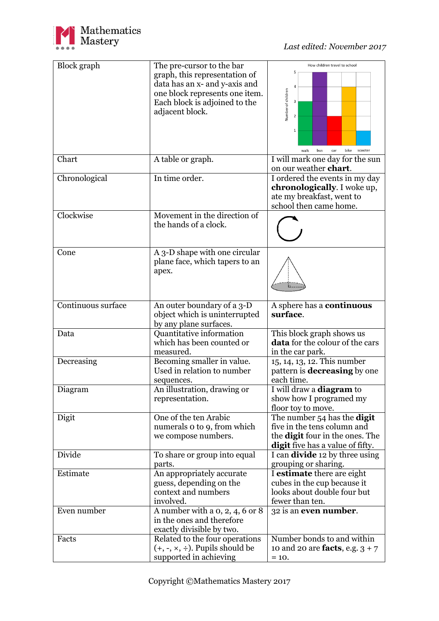

| <b>Block</b> graph | The pre-cursor to the bar                                           | How children travel to school                              |
|--------------------|---------------------------------------------------------------------|------------------------------------------------------------|
|                    | graph, this representation of                                       | 5                                                          |
|                    | data has an x- and y-axis and                                       |                                                            |
|                    | one block represents one item.                                      |                                                            |
|                    | Each block is adjoined to the                                       |                                                            |
|                    | adjacent block.                                                     | Number of children                                         |
|                    |                                                                     |                                                            |
|                    |                                                                     | 1                                                          |
|                    |                                                                     |                                                            |
|                    |                                                                     |                                                            |
|                    |                                                                     | bus<br>bike<br>walk<br>car<br>scooter                      |
| Chart              | A table or graph.                                                   | I will mark one day for the sun                            |
|                    |                                                                     | on our weather chart.                                      |
| Chronological      | In time order.                                                      | I ordered the events in my day                             |
|                    |                                                                     | chronologically. I woke up,                                |
|                    |                                                                     | ate my breakfast, went to                                  |
|                    |                                                                     | school then came home.                                     |
| Clockwise          | Movement in the direction of                                        |                                                            |
|                    | the hands of a clock.                                               |                                                            |
|                    |                                                                     |                                                            |
|                    |                                                                     |                                                            |
| Cone               | A 3-D shape with one circular                                       |                                                            |
|                    | plane face, which tapers to an                                      |                                                            |
|                    | apex.                                                               |                                                            |
|                    |                                                                     |                                                            |
|                    |                                                                     |                                                            |
|                    |                                                                     |                                                            |
| Continuous surface | An outer boundary of a 3-D                                          | A sphere has a continuous                                  |
|                    | object which is uninterrupted                                       | surface.                                                   |
|                    |                                                                     |                                                            |
|                    | by any plane surfaces.                                              |                                                            |
| Data               | Quantitative information                                            | This block graph shows us                                  |
|                    | which has been counted or                                           | <b>data</b> for the colour of the cars                     |
|                    | measured.                                                           | in the car park.                                           |
| Decreasing         | Becoming smaller in value.                                          | 15, 14, 13, 12. This number                                |
|                    | Used in relation to number                                          | pattern is <b>decreasing</b> by one                        |
|                    | sequences.                                                          | each time.                                                 |
| Diagram            | An illustration, drawing or                                         | I will draw a <b>diagram</b> to                            |
|                    | representation.                                                     | show how I programed my                                    |
|                    |                                                                     | floor toy to move.                                         |
| Digit              | One of the ten Arabic                                               | The number 54 has the <b>digit</b>                         |
|                    | numerals o to 9, from which                                         | five in the tens column and                                |
|                    | we compose numbers.                                                 | the <b>digit</b> four in the ones. The                     |
|                    |                                                                     | <b>digit</b> five has a value of fifty.                    |
| Divide             | To share or group into equal                                        |                                                            |
|                    | parts.                                                              | I can divide 12 by three using                             |
| Estimate           |                                                                     | grouping or sharing.                                       |
|                    | An appropriately accurate                                           | I estimate there are eight                                 |
|                    | guess, depending on the<br>context and numbers                      | cubes in the cup because it<br>looks about double four but |
|                    | involved.                                                           |                                                            |
|                    |                                                                     | fewer than ten.                                            |
| Even number        | A number with a $0, 2, 4, 6$ or $8$                                 | 32 is an even number.                                      |
|                    | in the ones and therefore                                           |                                                            |
|                    | exactly divisible by two.                                           |                                                            |
| Facts              | Related to the four operations                                      | Number bonds to and within                                 |
|                    | $(+, -, \times, \div)$ . Pupils should be<br>supported in achieving | 10 and 20 are <b>facts</b> , e.g. $3 + 7$<br>$= 10.$       |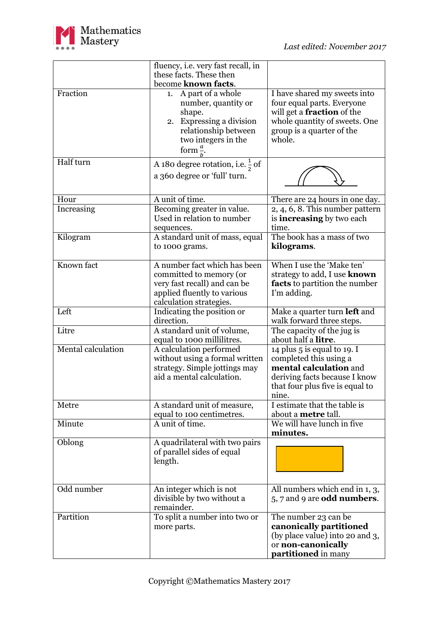

|                    | fluency, <i>i.e.</i> very fast recall, in<br>these facts. These then                                                                                        |                                                                                                                                                                         |
|--------------------|-------------------------------------------------------------------------------------------------------------------------------------------------------------|-------------------------------------------------------------------------------------------------------------------------------------------------------------------------|
|                    | become known facts.                                                                                                                                         |                                                                                                                                                                         |
| Fraction           | A part of a whole<br>1.<br>number, quantity or<br>shape.<br>2. Expressing a division<br>relationship between<br>two integers in the<br>form $\frac{a}{x}$ . | I have shared my sweets into<br>four equal parts. Everyone<br>will get a <b>fraction</b> of the<br>whole quantity of sweets. One<br>group is a quarter of the<br>whole. |
| Half turn          | A 180 degree rotation, i.e. $\frac{1}{2}$ of<br>a 360 degree or 'full' turn.                                                                                |                                                                                                                                                                         |
| Hour               | A unit of time.                                                                                                                                             | There are 24 hours in one day.                                                                                                                                          |
| Increasing         | Becoming greater in value.<br>Used in relation to number<br>sequences.                                                                                      | 2, 4, 6, 8. This number pattern<br>is <b>increasing</b> by two each<br>time.                                                                                            |
| Kilogram           | A standard unit of mass, equal<br>to 1000 grams.                                                                                                            | The book has a mass of two<br>kilograms.                                                                                                                                |
| Known fact         | A number fact which has been<br>committed to memory (or<br>very fast recall) and can be<br>applied fluently to various<br>calculation strategies.           | When I use the 'Make ten'<br>strategy to add, I use known<br><b>facts</b> to partition the number<br>I'm adding.                                                        |
| Left               | Indicating the position or<br>direction.                                                                                                                    | Make a quarter turn <b>left</b> and<br>walk forward three steps.                                                                                                        |
| Litre              | A standard unit of volume,<br>equal to 1000 millilitres.                                                                                                    | The capacity of the jug is<br>about half a <b>litre</b> .                                                                                                               |
| Mental calculation | A calculation performed<br>without using a formal written<br>strategy. Simple jottings may<br>aid a mental calculation.                                     | 14 plus $5$ is equal to 19. I<br>completed this using a<br>mental calculation and<br>deriving facts because I know<br>that four plus five is equal to<br>nine.          |
| Metre              | A standard unit of measure,<br>equal to 100 centimetres.                                                                                                    | I estimate that the table is<br>about a <b>metre</b> tall.                                                                                                              |
| Minute             | A unit of time.                                                                                                                                             | We will have lunch in five<br>minutes.                                                                                                                                  |
| Oblong             | A quadrilateral with two pairs<br>of parallel sides of equal<br>length.                                                                                     |                                                                                                                                                                         |
| Odd number         | An integer which is not<br>divisible by two without a<br>remainder.                                                                                         | All numbers which end in 1, 3,<br>$5, 7$ and 9 are <b>odd numbers</b> .                                                                                                 |
| Partition          | To split a number into two or<br>more parts.                                                                                                                | The number 23 can be<br>canonically partitioned<br>(by place value) into 20 and 3,<br>or non-canonically<br>partitioned in many                                         |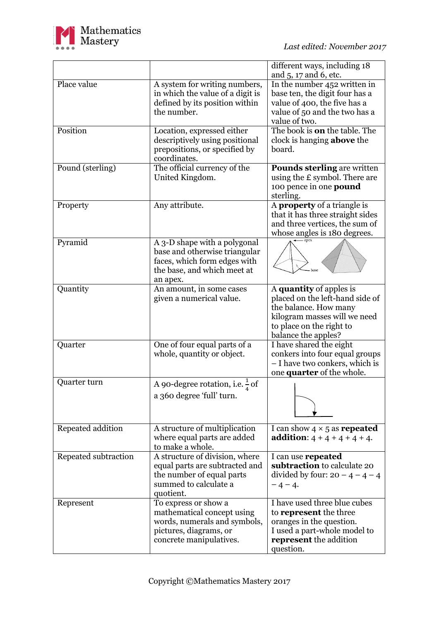

|                      |                                                                                                                                          | different ways, including 18<br>and 5, 17 and 6, etc.                                                                                                                   |
|----------------------|------------------------------------------------------------------------------------------------------------------------------------------|-------------------------------------------------------------------------------------------------------------------------------------------------------------------------|
| Place value          | A system for writing numbers,<br>in which the value of a digit is<br>defined by its position within<br>the number.                       | In the number 452 written in<br>base ten, the digit four has a<br>value of 400, the five has a<br>value of 50 and the two has a<br>value of two.                        |
| Position             | Location, expressed either<br>descriptively using positional<br>prepositions, or specified by<br>coordinates.                            | The book is <b>on</b> the table. The<br>clock is hanging <b>above</b> the<br>board.                                                                                     |
| Pound (sterling)     | The official currency of the<br>United Kingdom.                                                                                          | <b>Pounds sterling are written</b><br>using the $E$ symbol. There are<br>100 pence in one <b>pound</b><br>sterling.                                                     |
| Property             | Any attribute.                                                                                                                           | A <b>property</b> of a triangle is<br>that it has three straight sides<br>and three vertices, the sum of<br>whose angles is 180 degrees.                                |
| Pyramid              | A 3-D shape with a polygonal<br>base and otherwise triangular<br>faces, which form edges with<br>the base, and which meet at<br>an apex. | base                                                                                                                                                                    |
| Quantity             | An amount, in some cases<br>given a numerical value.                                                                                     | A quantity of apples is<br>placed on the left-hand side of<br>the balance. How many<br>kilogram masses will we need<br>to place on the right to<br>balance the apples?  |
| Quarter              | One of four equal parts of a<br>whole, quantity or object.                                                                               | I have shared the eight<br>conkers into four equal groups<br>- I have two conkers, which is<br>one quarter of the whole.                                                |
| Quarter turn         | A 90-degree rotation, i.e. $\frac{1}{4}$ of<br>a 360 degree 'full' turn.                                                                 |                                                                                                                                                                         |
| Repeated addition    | A structure of multiplication<br>where equal parts are added<br>to make a whole.                                                         | I can show $4 \times 5$ as <b>repeated</b><br><b>addition:</b> $4 + 4 + 4 + 4 + 4$ .                                                                                    |
| Repeated subtraction | A structure of division, where<br>equal parts are subtracted and<br>the number of equal parts<br>summed to calculate a<br>quotient.      | I can use <b>repeated</b><br>subtraction to calculate 20<br>divided by four: $20 - 4 - 4 - 4$<br>$-4-4.$                                                                |
| Represent            | To express or show a<br>mathematical concept using<br>words, numerals and symbols,<br>pictures, diagrams, or<br>concrete manipulatives.  | I have used three blue cubes<br>to <b>represent</b> the three<br>oranges in the question.<br>I used a part-whole model to<br><b>represent</b> the addition<br>question. |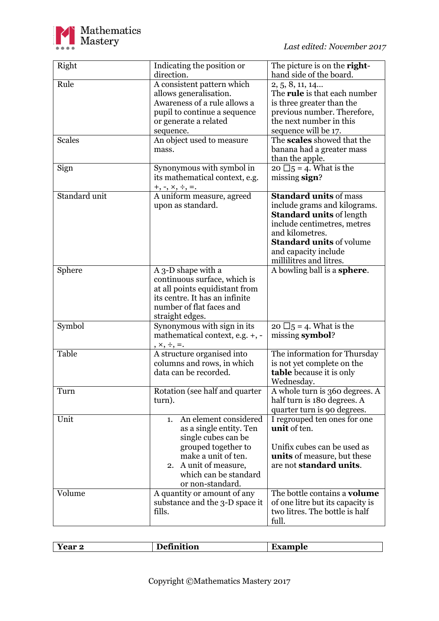

| Right         | Indicating the position or<br>direction.                                                                                                                                                             | The picture is on the right-<br>hand side of the board.                                                                                                                                                                                  |
|---------------|------------------------------------------------------------------------------------------------------------------------------------------------------------------------------------------------------|------------------------------------------------------------------------------------------------------------------------------------------------------------------------------------------------------------------------------------------|
| Rule          | A consistent pattern which<br>allows generalisation.<br>Awareness of a rule allows a<br>pupil to continue a sequence<br>or generate a related<br>sequence.                                           | 2, 5, 8, 11, 14<br>The <b>rule</b> is that each number<br>is three greater than the<br>previous number. Therefore,<br>the next number in this<br>sequence will be 17.                                                                    |
| <b>Scales</b> | An object used to measure<br>mass.                                                                                                                                                                   | The scales showed that the<br>banana had a greater mass<br>than the apple.                                                                                                                                                               |
| Sign          | Synonymous with symbol in<br>its mathematical context, e.g.<br>$+, \neg, \times, \div, =.$                                                                                                           | 20 $\Box$ 5 = 4. What is the<br>missing sign?                                                                                                                                                                                            |
| Standard unit | A uniform measure, agreed<br>upon as standard.                                                                                                                                                       | <b>Standard units of mass</b><br>include grams and kilograms.<br><b>Standard units of length</b><br>include centimetres, metres<br>and kilometres.<br><b>Standard units of volume</b><br>and capacity include<br>millilitres and litres. |
| Sphere        | A 3-D shape with a<br>continuous surface, which is<br>at all points equidistant from<br>its centre. It has an infinite<br>number of flat faces and<br>straight edges.                                | A bowling ball is a <b>sphere</b> .                                                                                                                                                                                                      |
| Symbol        | Synonymous with sign in its<br>mathematical context, e.g. +, -<br>$x, \frac{1}{2}, \frac{1}{2}$                                                                                                      | 20 $\Box$ 5 = 4. What is the<br>missing symbol?                                                                                                                                                                                          |
| Table         | A structure organised into<br>columns and rows, in which<br>data can be recorded.                                                                                                                    | The information for Thursday<br>is not yet complete on the<br><b>table</b> because it is only<br>Wednesday.                                                                                                                              |
| Turn          | Rotation (see half and quarter<br>turn).                                                                                                                                                             | A whole turn is 360 degrees. A<br>half turn is 180 degrees. A<br>quarter turn is 90 degrees.                                                                                                                                             |
| Unit          | An element considered<br>1.<br>as a single entity. Ten<br>single cubes can be<br>grouped together to<br>make a unit of ten.<br>A unit of measure,<br>2.<br>which can be standard<br>or non-standard. | I regrouped ten ones for one<br>unit of ten.<br>Unifix cubes can be used as<br>units of measure, but these<br>are not standard units.                                                                                                    |
| Volume        | A quantity or amount of any<br>substance and the 3-D space it<br>fills.                                                                                                                              | The bottle contains a <b>volume</b><br>of one litre but its capacity is<br>two litres. The bottle is half<br>full.                                                                                                                       |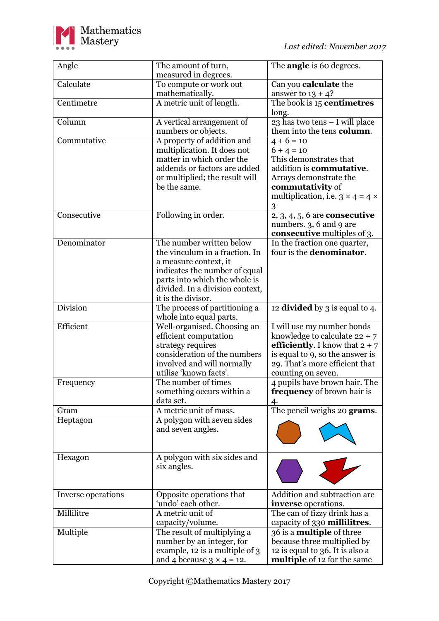

| Angle              | The amount of turn,                                                                                                                                                                                            | The <b>angle</b> is 60 degrees.                                                                                                                                                                     |
|--------------------|----------------------------------------------------------------------------------------------------------------------------------------------------------------------------------------------------------------|-----------------------------------------------------------------------------------------------------------------------------------------------------------------------------------------------------|
|                    | measured in degrees.                                                                                                                                                                                           |                                                                                                                                                                                                     |
| Calculate          | To compute or work out<br>mathematically.                                                                                                                                                                      | Can you calculate the<br>answer to $13 + 4$ ?                                                                                                                                                       |
| Centimetre         | A metric unit of length.                                                                                                                                                                                       | The book is 15 centimetres<br>long.                                                                                                                                                                 |
| Column             | A vertical arrangement of<br>numbers or objects.                                                                                                                                                               | 23 has two tens - I will place<br>them into the tens column.                                                                                                                                        |
| Commutative        | A property of addition and<br>multiplication. It does not<br>matter in which order the<br>addends or factors are added                                                                                         | $4 + 6 = 10$<br>$6 + 4 = 10$<br>This demonstrates that<br>addition is <b>commutative</b> .                                                                                                          |
|                    | or multiplied; the result will<br>be the same.                                                                                                                                                                 | Arrays demonstrate the<br><b>commutativity</b> of<br>multiplication, i.e. $3 \times 4 = 4 \times$<br>3                                                                                              |
| Consecutive        | Following in order.                                                                                                                                                                                            | $2, 3, 4, 5, 6$ are <b>consecutive</b><br>numbers. 3, 6 and 9 are<br><b>consecutive</b> multiples of 3.                                                                                             |
| Denominator        | The number written below<br>the vinculum in a fraction. In<br>a measure context, it<br>indicates the number of equal<br>parts into which the whole is<br>divided. In a division context,<br>it is the divisor. | In the fraction one quarter,<br>four is the <b>denominator</b> .                                                                                                                                    |
| <b>Division</b>    | The process of partitioning a<br>whole into equal parts.                                                                                                                                                       | 12 divided by 3 is equal to 4.                                                                                                                                                                      |
| Efficient          | Well-organised. Choosing an<br>efficient computation<br>strategy requires<br>consideration of the numbers<br>involved and will normally<br>utilise 'known facts'.                                              | I will use my number bonds<br>knowledge to calculate $22 + 7$<br><b>efficiently.</b> I know that $2 + 7$<br>is equal to 9, so the answer is<br>29. That's more efficient that<br>counting on seven. |
| Frequency          | The number of times<br>something occurs within a<br>data set.                                                                                                                                                  | 4 pupils have brown hair. The<br><b>frequency</b> of brown hair is<br>4.                                                                                                                            |
| Gram               | A metric unit of mass.                                                                                                                                                                                         | The pencil weighs 20 grams.                                                                                                                                                                         |
| Heptagon           | A polygon with seven sides<br>and seven angles.                                                                                                                                                                |                                                                                                                                                                                                     |
| Hexagon            | A polygon with six sides and<br>six angles.                                                                                                                                                                    |                                                                                                                                                                                                     |
| Inverse operations | Opposite operations that<br>'undo' each other.                                                                                                                                                                 | Addition and subtraction are<br>inverse operations.                                                                                                                                                 |
| Millilitre         | A metric unit of<br>capacity/volume.                                                                                                                                                                           | The can of fizzy drink has a<br>capacity of 330 millilitres.                                                                                                                                        |
| Multiple           | The result of multiplying a<br>number by an integer, for<br>example, 12 is a multiple of 3<br>and 4 because $3 \times 4 = 12$ .                                                                                | 36 is a <b>multiple</b> of three<br>because three multiplied by<br>12 is equal to 36. It is also a<br>multiple of 12 for the same                                                                   |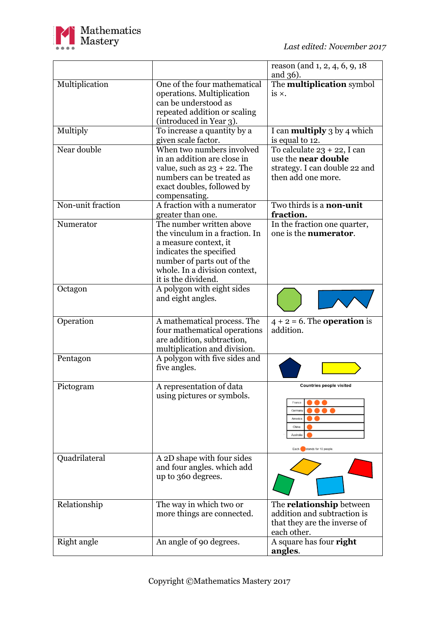

|                   |                                                                                                                                                                                                      | reason (and $1, 2, 4, 6, 9, 18$                                                                                     |
|-------------------|------------------------------------------------------------------------------------------------------------------------------------------------------------------------------------------------------|---------------------------------------------------------------------------------------------------------------------|
|                   |                                                                                                                                                                                                      | and 36).                                                                                                            |
| Multiplication    | One of the four mathematical<br>operations. Multiplication<br>can be understood as<br>repeated addition or scaling<br>(introduced in Year 3).                                                        | The <b>multiplication</b> symbol<br>is $\times$ .                                                                   |
| Multiply          | To increase a quantity by a<br>given scale factor.                                                                                                                                                   | I can <b>multiply</b> 3 by 4 which<br>is equal to 12.                                                               |
| Near double       | When two numbers involved<br>in an addition are close in<br>value, such as $23 + 22$ . The<br>numbers can be treated as<br>exact doubles, followed by<br>compensating.                               | To calculate 23 + 22, I can<br>use the near double<br>strategy. I can double 22 and<br>then add one more.           |
| Non-unit fraction | A fraction with a numerator<br>greater than one.                                                                                                                                                     | Two thirds is a non-unit<br>fraction.                                                                               |
| Numerator         | The number written above<br>the vinculum in a fraction. In<br>a measure context, it<br>indicates the specified<br>number of parts out of the<br>whole. In a division context,<br>it is the dividend. | In the fraction one quarter,<br>one is the <b>numerator</b> .                                                       |
| Octagon           | A polygon with eight sides<br>and eight angles.                                                                                                                                                      |                                                                                                                     |
| Operation         | A mathematical process. The<br>four mathematical operations<br>are addition, subtraction,<br>multiplication and division.                                                                            | $4 + 2 = 6$ . The <b>operation</b> is<br>addition.                                                                  |
| Pentagon          | A polygon with five sides and<br>five angles.                                                                                                                                                        |                                                                                                                     |
| Pictogram         | A representation of data<br>using pictures or symbols.                                                                                                                                               | <b>Countries people visited</b><br>France<br>Germany<br>America<br>China<br>Australia<br>Each stands for 10 people. |
| Quadrilateral     | A 2D shape with four sides<br>and four angles, which add<br>up to 360 degrees.                                                                                                                       |                                                                                                                     |
| Relationship      | The way in which two or<br>more things are connected.                                                                                                                                                | The <b>relationship</b> between<br>addition and subtraction is<br>that they are the inverse of<br>each other.       |
| Right angle       | An angle of 90 degrees.                                                                                                                                                                              | A square has four right<br>angles.                                                                                  |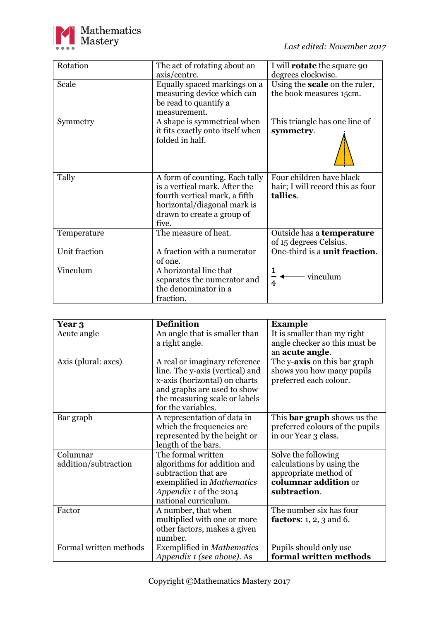

| Rotation      | The act of rotating about an                                                                                                                                           | I will <b>rotate</b> the square 90                                       |
|---------------|------------------------------------------------------------------------------------------------------------------------------------------------------------------------|--------------------------------------------------------------------------|
|               | axis/centre.                                                                                                                                                           | degrees clockwise.                                                       |
| Scale         | Equally spaced markings on a                                                                                                                                           | Using the <b>scale</b> on the ruler,                                     |
|               | measuring device which can                                                                                                                                             | the book measures 15cm.                                                  |
|               | be read to quantify a                                                                                                                                                  |                                                                          |
|               | measurement.                                                                                                                                                           |                                                                          |
| Symmetry      | A shape is symmetrical when                                                                                                                                            | This triangle has one line of                                            |
|               | it fits exactly onto itself when<br>folded in half.                                                                                                                    | symmetry.                                                                |
| Tally         | A form of counting. Each tally<br>is a vertical mark. After the<br>fourth vertical mark, a fifth<br>horizontal/diagonal mark is<br>drawn to create a group of<br>five. | Four children have black<br>hair; I will record this as four<br>tallies. |
| Temperature   | The measure of heat.                                                                                                                                                   | Outside has a temperature<br>of 15 degrees Celsius.                      |
| Unit fraction | A fraction with a numerator<br>of one.                                                                                                                                 | One-third is a unit fraction.                                            |
| Vinculum      | A horizontal line that                                                                                                                                                 | $\mathbf{1}$                                                             |
|               | separates the numerator and                                                                                                                                            | vinculum<br>4                                                            |
|               | the denominator in a                                                                                                                                                   |                                                                          |
|               | fraction.                                                                                                                                                              |                                                                          |

| Year 3                           | <b>Definition</b>                                                                                                                                                                       | <b>Example</b>                                                                                                    |
|----------------------------------|-----------------------------------------------------------------------------------------------------------------------------------------------------------------------------------------|-------------------------------------------------------------------------------------------------------------------|
| Acute angle                      | An angle that is smaller than<br>a right angle.                                                                                                                                         | It is smaller than my right<br>angle checker so this must be<br>an acute angle.                                   |
| Axis (plural: axes)              | A real or imaginary reference<br>line. The y-axis (vertical) and<br>x-axis (horizontal) on charts<br>and graphs are used to show<br>the measuring scale or labels<br>for the variables. | The y-axis on this bar graph<br>shows you how many pupils<br>preferred each colour.                               |
| Bar graph                        | A representation of data in<br>which the frequencies are<br>represented by the height or<br>length of the bars.                                                                         | This <b>bar graph</b> shows us the<br>preferred colours of the pupils<br>in our Year 3 class.                     |
| Columnar<br>addition/subtraction | The formal written<br>algorithms for addition and<br>subtraction that are<br>exemplified in <i>Mathematics</i><br><i>Appendix 1</i> of the 2014<br>national curriculum.                 | Solve the following<br>calculations by using the<br>appropriate method of<br>columnar addition or<br>subtraction. |
| Factor                           | A number, that when<br>multiplied with one or more<br>other factors, makes a given<br>number.                                                                                           | The number six has four<br><b>factors:</b> $1, 2, 3$ and $6$ .                                                    |
| Formal written methods           | <b>Exemplified in Mathematics</b><br>Appendix 1 (see above). As                                                                                                                         | Pupils should only use<br>formal written methods                                                                  |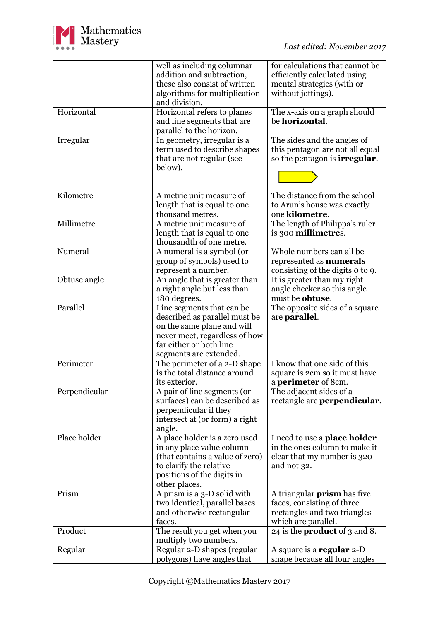

|               | well as including columnar<br>addition and subtraction,<br>these also consist of written<br>algorithms for multiplication<br>and division.                                     | for calculations that cannot be<br>efficiently calculated using<br>mental strategies (with or<br>without jottings).     |
|---------------|--------------------------------------------------------------------------------------------------------------------------------------------------------------------------------|-------------------------------------------------------------------------------------------------------------------------|
| Horizontal    | Horizontal refers to planes<br>and line segments that are<br>parallel to the horizon.                                                                                          | The x-axis on a graph should<br>be <b>horizontal</b> .                                                                  |
| Irregular     | In geometry, irregular is a<br>term used to describe shapes<br>that are not regular (see<br>below).                                                                            | The sides and the angles of<br>this pentagon are not all equal<br>so the pentagon is <b>irregular</b> .                 |
| Kilometre     | A metric unit measure of<br>length that is equal to one<br>thousand metres.                                                                                                    | The distance from the school<br>to Arun's house was exactly<br>one kilometre.                                           |
| Millimetre    | A metric unit measure of<br>length that is equal to one<br>thousandth of one metre.                                                                                            | The length of Philippa's ruler<br>is 300 millimetres.                                                                   |
| Numeral       | A numeral is a symbol (or<br>group of symbols) used to<br>represent a number.                                                                                                  | Whole numbers can all be<br>represented as <b>numerals</b><br>consisting of the digits o to 9.                          |
| Obtuse angle  | An angle that is greater than<br>a right angle but less than<br>180 degrees.                                                                                                   | It is greater than my right<br>angle checker so this angle<br>must be <b>obtuse</b> .                                   |
| Parallel      | Line segments that can be<br>described as parallel must be<br>on the same plane and will<br>never meet, regardless of how<br>far either or both line<br>segments are extended. | The opposite sides of a square<br>are <b>parallel</b> .                                                                 |
| Perimeter     | The perimeter of a 2-D shape<br>is the total distance around<br>its exterior.                                                                                                  | I know that one side of this<br>square is 2cm so it must have<br>a <b>perimeter</b> of 8cm.                             |
| Perpendicular | A pair of line segments (or<br>surfaces) can be described as<br>perpendicular if they<br>intersect at (or form) a right<br>angle.                                              | The adjacent sides of a<br>rectangle are <b>perpendicular</b> .                                                         |
| Place holder  | A place holder is a zero used<br>in any place value column<br>(that contains a value of zero)<br>to clarify the relative<br>positions of the digits in<br>other places.        | I need to use a place holder<br>in the ones column to make it<br>clear that my number is 320<br>and not 32.             |
| Prism         | A prism is a 3-D solid with<br>two identical, parallel bases<br>and otherwise rectangular<br>faces.                                                                            | A triangular <b>prism</b> has five<br>faces, consisting of three<br>rectangles and two triangles<br>which are parallel. |
| Product       | The result you get when you<br>multiply two numbers.                                                                                                                           | 24 is the <b>product</b> of 3 and 8.                                                                                    |
| Regular       | Regular 2-D shapes (regular<br>polygons) have angles that                                                                                                                      | A square is a regular 2-D<br>shape because all four angles                                                              |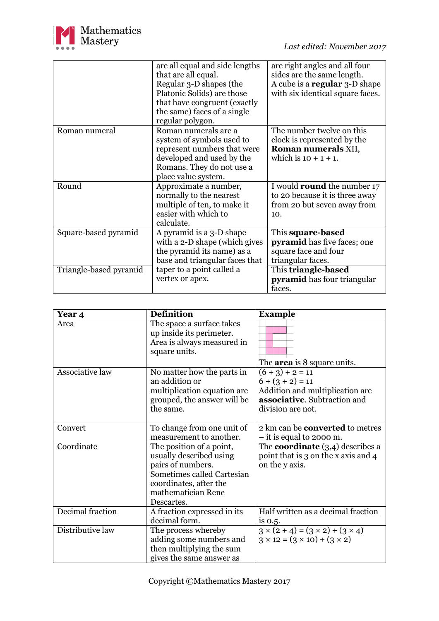

|                        | are all equal and side lengths<br>that are all equal.<br>Regular 3-D shapes (the | are right angles and all four<br>sides are the same length.<br>A cube is a <b>regular</b> 3-D shape |
|------------------------|----------------------------------------------------------------------------------|-----------------------------------------------------------------------------------------------------|
|                        | Platonic Solids) are those                                                       | with six identical square faces.                                                                    |
|                        | that have congruent (exactly                                                     |                                                                                                     |
|                        | the same) faces of a single<br>regular polygon.                                  |                                                                                                     |
| Roman numeral          | Roman numerals are a                                                             | The number twelve on this                                                                           |
|                        | system of symbols used to                                                        | clock is represented by the                                                                         |
|                        | represent numbers that were                                                      | Roman numerals XII,                                                                                 |
|                        | developed and used by the                                                        | which is $10 + 1 + 1$ .                                                                             |
|                        | Romans. They do not use a                                                        |                                                                                                     |
|                        | place value system.                                                              |                                                                                                     |
| Round                  | Approximate a number,                                                            | I would <b>round</b> the number 17                                                                  |
|                        | normally to the nearest                                                          | to 20 because it is three away                                                                      |
|                        | multiple of ten, to make it                                                      | from 20 but seven away from                                                                         |
|                        | easier with which to                                                             | 10.                                                                                                 |
|                        | calculate.                                                                       |                                                                                                     |
| Square-based pyramid   | A pyramid is a 3-D shape                                                         | This square-based                                                                                   |
|                        | with a 2-D shape (which gives                                                    | <b>pyramid</b> has five faces; one                                                                  |
|                        | the pyramid its name) as a                                                       | square face and four                                                                                |
|                        | base and triangular faces that                                                   | triangular faces.                                                                                   |
| Triangle-based pyramid | taper to a point called a                                                        | This triangle-based                                                                                 |
|                        | vertex or apex.                                                                  | <b>pyramid</b> has four triangular                                                                  |
|                        |                                                                                  | faces.                                                                                              |

| Year 4           | <b>Definition</b>                                                                                                                                                    | <b>Example</b>                                                                                                             |
|------------------|----------------------------------------------------------------------------------------------------------------------------------------------------------------------|----------------------------------------------------------------------------------------------------------------------------|
| Area             | The space a surface takes<br>up inside its perimeter.<br>Area is always measured in<br>square units.                                                                 | The <b>area</b> is 8 square units.                                                                                         |
| Associative law  | No matter how the parts in<br>an addition or<br>multiplication equation are<br>grouped, the answer will be<br>the same.                                              | $(6+3)+2=11$<br>$6 + (3 + 2) = 11$<br>Addition and multiplication are<br>associative. Subtraction and<br>division are not. |
| Convert          | To change from one unit of<br>measurement to another.                                                                                                                | 2 km can be <b>converted</b> to metres<br>$-$ it is equal to 2000 m.                                                       |
| Coordinate       | The position of a point,<br>usually described using<br>pairs of numbers.<br>Sometimes called Cartesian<br>coordinates, after the<br>mathematician Rene<br>Descartes. | The <b>coordinate</b> $(3,4)$ describes a<br>point that is 3 on the x axis and 4<br>on the y axis.                         |
| Decimal fraction | A fraction expressed in its<br>decimal form.                                                                                                                         | Half written as a decimal fraction<br>is $0.5$ .                                                                           |
| Distributive law | The process whereby<br>adding some numbers and<br>then multiplying the sum<br>gives the same answer as                                                               | $3 \times (2 + 4) = (3 \times 2) + (3 \times 4)$<br>$3 \times 12 = (3 \times 10) + (3 \times 2)$                           |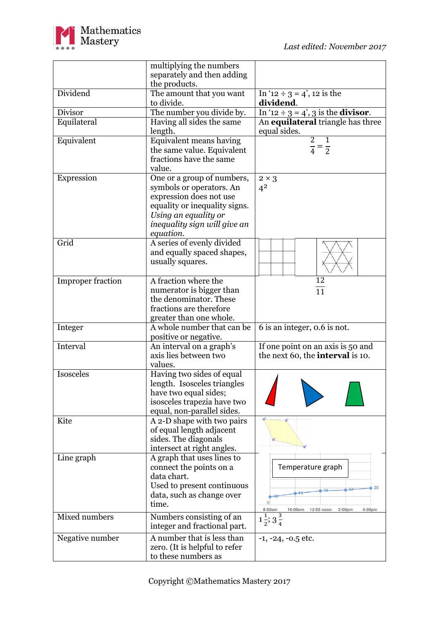

|                          | multiplying the numbers<br>separately and then adding<br>the products.                                                                                                                  |                                                                              |
|--------------------------|-----------------------------------------------------------------------------------------------------------------------------------------------------------------------------------------|------------------------------------------------------------------------------|
| Dividend                 | The amount that you want<br>to divide.                                                                                                                                                  | In '12 ÷ 3 = 4', 12 is the<br>dividend.                                      |
| Divisor                  | The number you divide by.                                                                                                                                                               | In '12 ÷ 3 = 4', 3 is the <b>divisor</b> .                                   |
| Equilateral              | Having all sides the same<br>length.                                                                                                                                                    | An equilateral triangle has three<br>equal sides.                            |
| Equivalent               | Equivalent means having<br>the same value. Equivalent<br>fractions have the same<br>value.                                                                                              | $\overline{2}$<br>1<br>$\frac{\overline{}}{4} = \frac{\overline{}}{2}$       |
| Expression               | One or a group of numbers,<br>symbols or operators. An<br>expression does not use<br>equality or inequality signs.<br>Using an equality or<br>inequality sign will give an<br>equation. | $2 \times 3$<br>$4^2$                                                        |
| Grid                     | A series of evenly divided<br>and equally spaced shapes,<br>usually squares.                                                                                                            |                                                                              |
| <b>Improper fraction</b> | A fraction where the<br>numerator is bigger than<br>the denominator. These<br>fractions are therefore<br>greater than one whole.                                                        | 12<br>$\overline{11}$                                                        |
| Integer                  | A whole number that can be<br>positive or negative.                                                                                                                                     | 6 is an integer, 0.6 is not.                                                 |
| Interval                 | An interval on a graph's<br>axis lies between two<br>values.                                                                                                                            | If one point on an axis is 50 and<br>the next 60, the <b>interval</b> is 10. |
| Isosceles                | Having two sides of equal<br>length. Isosceles triangles<br>have two equal sides;<br>isosceles trapezia have two<br>equal, non-parallel sides.                                          |                                                                              |
| Kite                     | A 2-D shape with two pairs<br>of equal length adjacent<br>sides. The diagonals<br>intersect at right angles.                                                                            |                                                                              |
| Line graph               | A graph that uses lines to<br>connect the points on a<br>data chart.<br>Used to present continuous<br>data, such as change over<br>time.                                                | Temperature graph<br>8:00am<br>10:00am<br>12:00 noon<br>2:00pm<br>4:00pm     |
| Mixed numbers            | Numbers consisting of an<br>integer and fractional part.                                                                                                                                | $1\frac{1}{2}$ ; $3\frac{3}{4}$                                              |
| Negative number          | A number that is less than<br>zero. (It is helpful to refer<br>to these numbers as                                                                                                      | $-1, -24, -0.5$ etc.                                                         |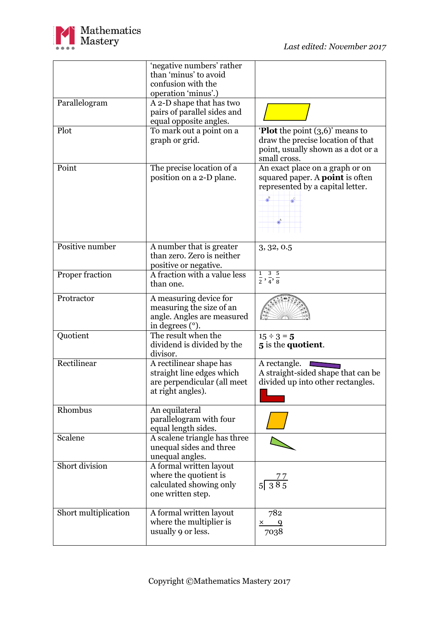

|                      | 'negative numbers' rather    |                                                                                                                                                                                                                                                  |
|----------------------|------------------------------|--------------------------------------------------------------------------------------------------------------------------------------------------------------------------------------------------------------------------------------------------|
|                      | than 'minus' to avoid        |                                                                                                                                                                                                                                                  |
|                      | confusion with the           |                                                                                                                                                                                                                                                  |
|                      | operation 'minus'.)          |                                                                                                                                                                                                                                                  |
| Parallelogram        | A 2-D shape that has two     |                                                                                                                                                                                                                                                  |
|                      | pairs of parallel sides and  |                                                                                                                                                                                                                                                  |
|                      | equal opposite angles.       |                                                                                                                                                                                                                                                  |
| Plot                 | To mark out a point on a     | <b>Plot</b> the point $(3,6)$ means to                                                                                                                                                                                                           |
|                      | graph or grid.               | draw the precise location of that                                                                                                                                                                                                                |
|                      |                              | point, usually shown as a dot or a                                                                                                                                                                                                               |
|                      |                              | small cross.                                                                                                                                                                                                                                     |
| Point                | The precise location of a    | An exact place on a graph or on                                                                                                                                                                                                                  |
|                      | position on a 2-D plane.     | squared paper. A <b>point</b> is often                                                                                                                                                                                                           |
|                      |                              | represented by a capital letter.                                                                                                                                                                                                                 |
|                      |                              |                                                                                                                                                                                                                                                  |
|                      |                              |                                                                                                                                                                                                                                                  |
|                      |                              |                                                                                                                                                                                                                                                  |
|                      |                              |                                                                                                                                                                                                                                                  |
|                      |                              |                                                                                                                                                                                                                                                  |
| Positive number      | A number that is greater     | 3, 32, 0.5                                                                                                                                                                                                                                       |
|                      | than zero. Zero is neither   |                                                                                                                                                                                                                                                  |
|                      | positive or negative.        |                                                                                                                                                                                                                                                  |
| Proper fraction      | A fraction with a value less | $\frac{1}{2}, \frac{3}{4}, \frac{5}{8}$                                                                                                                                                                                                          |
|                      | than one.                    |                                                                                                                                                                                                                                                  |
| Protractor           | A measuring device for       |                                                                                                                                                                                                                                                  |
|                      | measuring the size of an     |                                                                                                                                                                                                                                                  |
|                      | angle. Angles are measured   |                                                                                                                                                                                                                                                  |
|                      | in degrees (°).              |                                                                                                                                                                                                                                                  |
| Quotient             | The result when the          | $15 \div 3 = 5$                                                                                                                                                                                                                                  |
|                      | dividend is divided by the   | 5 is the quotient.                                                                                                                                                                                                                               |
|                      | divisor.                     |                                                                                                                                                                                                                                                  |
| Rectilinear          | A rectilinear shape has      | A rectangle.                                                                                                                                                                                                                                     |
|                      | straight line edges which    | A straight-sided shape that can be                                                                                                                                                                                                               |
|                      | are perpendicular (all meet  | divided up into other rectangles.                                                                                                                                                                                                                |
|                      | at right angles).            |                                                                                                                                                                                                                                                  |
|                      |                              |                                                                                                                                                                                                                                                  |
| Rhombus              | An equilateral               |                                                                                                                                                                                                                                                  |
|                      | parallelogram with four      |                                                                                                                                                                                                                                                  |
|                      | equal length sides.          |                                                                                                                                                                                                                                                  |
| Scalene              | A scalene triangle has three |                                                                                                                                                                                                                                                  |
|                      | unequal sides and three      |                                                                                                                                                                                                                                                  |
|                      | unequal angles.              |                                                                                                                                                                                                                                                  |
| Short division       | A formal written layout      |                                                                                                                                                                                                                                                  |
|                      | where the quotient is        |                                                                                                                                                                                                                                                  |
|                      | calculated showing only      | $\begin{array}{c}\n 77 \\ 5 \overline{)385}\n \end{array}$                                                                                                                                                                                       |
|                      | one written step.            |                                                                                                                                                                                                                                                  |
|                      |                              |                                                                                                                                                                                                                                                  |
| Short multiplication | A formal written layout      | 782                                                                                                                                                                                                                                              |
|                      | where the multiplier is      | $\overline{9}$<br>X and the set of the set of the set of the set of the set of the set of the set of the set of the set of the set of the set of the set of the set of the set of the set of the set of the set of the set of the set of the set |
|                      | usually 9 or less.           | 7038                                                                                                                                                                                                                                             |
|                      |                              |                                                                                                                                                                                                                                                  |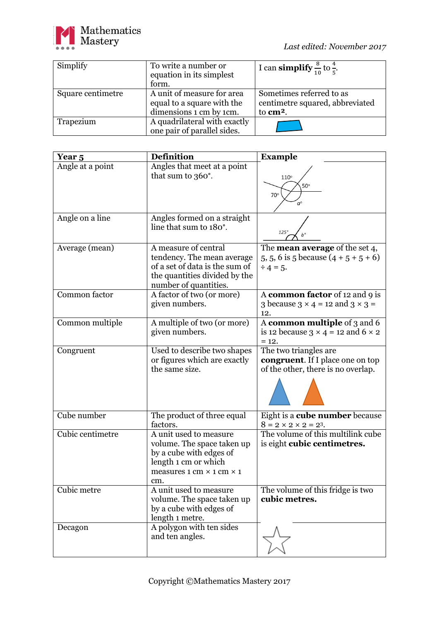

| Simplify          | To write a number or<br>equation in its simplest         | I can <b>simplify</b> $\frac{8}{10}$ to $\frac{4}{5}$ .     |
|-------------------|----------------------------------------------------------|-------------------------------------------------------------|
|                   | form.                                                    |                                                             |
| Square centimetre | A unit of measure for area<br>equal to a square with the | Sometimes referred to as<br>centimetre squared, abbreviated |
|                   | dimensions 1 cm by 1cm.                                  | to cm <sup>2</sup> .                                        |
| Trapezium         | A quadrilateral with exactly                             |                                                             |
|                   | one pair of parallel sides.                              |                                                             |

| Year 5           | <b>Definition</b>                                                                                                                                                      | <b>Example</b>                                                                                          |
|------------------|------------------------------------------------------------------------------------------------------------------------------------------------------------------------|---------------------------------------------------------------------------------------------------------|
| Angle at a point | Angles that meet at a point<br>that sum to 360°.                                                                                                                       | $110^\circ$<br>$50^\circ$<br>70°                                                                        |
| Angle on a line  | Angles formed on a straight<br>line that sum to 180°.                                                                                                                  | $125^\circ$                                                                                             |
| Average (mean)   | A measure of central<br>tendency. The mean average<br>of a set of data is the sum of<br>the quantities divided by the<br>number of quantities.                         | The <b>mean average</b> of the set $4$ ,<br>5, 5, 6 is 5 because $(4 + 5 + 5 + 6)$<br>$\div 4 = 5.$     |
| Common factor    | A factor of two (or more)<br>given numbers.                                                                                                                            | A common factor of 12 and 9 is<br>3 because $3 \times 4 = 12$ and $3 \times 3 =$<br>12.                 |
| Common multiple  | A multiple of two (or more)<br>given numbers.                                                                                                                          | A common multiple of 3 and 6<br>is 12 because $3 \times 4 = 12$ and $6 \times 2$<br>$= 12.$             |
| Congruent        | Used to describe two shapes<br>or figures which are exactly<br>the same size.                                                                                          | The two triangles are<br><b>congruent</b> . If I place one on top<br>of the other, there is no overlap. |
| Cube number      | The product of three equal<br>factors.                                                                                                                                 | Eight is a cube number because<br>$8 = 2 \times 2 \times 2 = 2^3$ .                                     |
| Cubic centimetre | A unit used to measure<br>volume. The space taken up<br>by a cube with edges of<br>length 1 cm or which<br>measures $1 \text{ cm} \times 1 \text{ cm} \times 1$<br>cm. | The volume of this multilink cube<br>is eight cubic centimetres.                                        |
| Cubic metre      | A unit used to measure<br>volume. The space taken up<br>by a cube with edges of<br>length 1 metre.                                                                     | The volume of this fridge is two<br>cubic metres.                                                       |
| Decagon          | A polygon with ten sides<br>and ten angles.                                                                                                                            |                                                                                                         |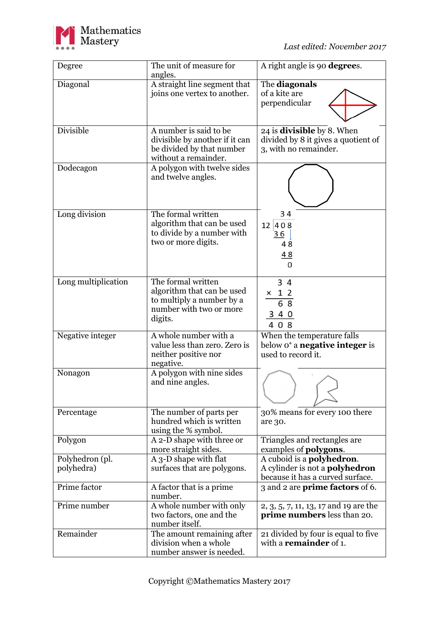

| Degree                        | The unit of measure for<br>angles.                                                                                  | A right angle is 90 degrees.                                                                                   |
|-------------------------------|---------------------------------------------------------------------------------------------------------------------|----------------------------------------------------------------------------------------------------------------|
| Diagonal                      | A straight line segment that<br>joins one vertex to another.                                                        | The diagonals<br>of a kite are<br>perpendicular                                                                |
| <b>Divisible</b>              | A number is said to be<br>divisible by another if it can<br>be divided by that number<br>without a remainder.       | 24 is <b>divisible</b> by 8. When<br>divided by 8 it gives a quotient of<br>3, with no remainder.              |
| Dodecagon                     | A polygon with twelve sides<br>and twelve angles.                                                                   |                                                                                                                |
| Long division                 | The formal written<br>algorithm that can be used<br>to divide by a number with<br>two or more digits.               | 34<br>12 408<br>36<br>48<br><u>48</u><br>$\Omega$                                                              |
| Long multiplication           | The formal written<br>algorithm that can be used<br>to multiply a number by a<br>number with two or more<br>digits. | 34<br>$\begin{array}{r} \times \quad 1 \quad 2 \\ \hline 6 \quad 8 \end{array}$<br>3 4 0<br>408                |
| Negative integer              | A whole number with a<br>value less than zero. Zero is<br>neither positive nor<br>negative.                         | When the temperature falls<br>below o <sup>o</sup> a <b>negative integer</b> is<br>used to record it.          |
| Nonagon                       | A polygon with nine sides<br>and nine angles.                                                                       |                                                                                                                |
| Percentage                    | The number of parts per<br>hundred which is written<br>using the % symbol.                                          | 30% means for every 100 there<br>are 30.                                                                       |
| Polygon                       | A 2-D shape with three or<br>more straight sides.                                                                   | Triangles and rectangles are<br>examples of <b>polygons</b> .                                                  |
| Polyhedron (pl.<br>polyhedra) | A 3-D shape with flat<br>surfaces that are polygons.                                                                | A cuboid is a <b>polyhedron</b> .<br>A cylinder is not a <b>polyhedron</b><br>because it has a curved surface. |
| Prime factor                  | A factor that is a prime<br>number.                                                                                 | 3 and 2 are <b>prime factors</b> of 6.                                                                         |
| Prime number                  | A whole number with only<br>two factors, one and the<br>number itself.                                              | 2, 3, 5, 7, 11, 13, 17 and 19 are the<br><b>prime numbers</b> less than 20.                                    |
| Remainder                     | The amount remaining after<br>division when a whole<br>number answer is needed.                                     | 21 divided by four is equal to five<br>with a <b>remainder</b> of 1.                                           |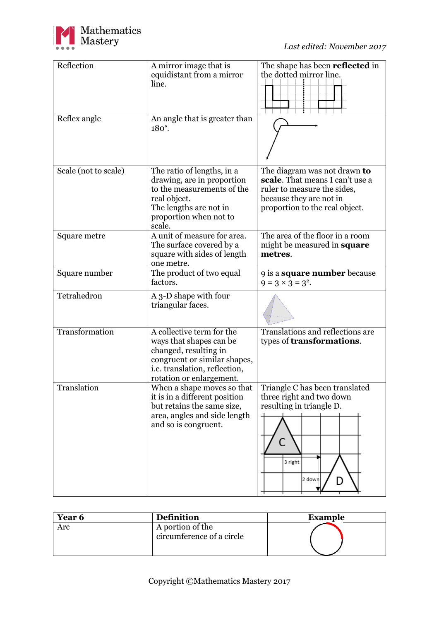

| Reflection<br>Reflex angle | A mirror image that is<br>equidistant from a mirror<br>line.<br>An angle that is greater than                                                                              | The shape has been reflected in<br>the dotted mirror line.                                                                                                  |
|----------------------------|----------------------------------------------------------------------------------------------------------------------------------------------------------------------------|-------------------------------------------------------------------------------------------------------------------------------------------------------------|
|                            | $180^\circ$ .                                                                                                                                                              |                                                                                                                                                             |
| Scale (not to scale)       | The ratio of lengths, in a<br>drawing, are in proportion<br>to the measurements of the<br>real object.<br>The lengths are not in<br>proportion when not to<br>scale.       | The diagram was not drawn to<br>scale. That means I can't use a<br>ruler to measure the sides,<br>because they are not in<br>proportion to the real object. |
| Square metre               | A unit of measure for area.<br>The surface covered by a<br>square with sides of length<br>one metre.                                                                       | The area of the floor in a room<br>might be measured in <b>square</b><br>metres.                                                                            |
| Square number              | The product of two equal<br>factors.                                                                                                                                       | 9 is a <b>square number</b> because<br>$9 = 3 \times 3 = 3^2$ .                                                                                             |
| Tetrahedron                | A 3-D shape with four<br>triangular faces.                                                                                                                                 |                                                                                                                                                             |
| Transformation             | A collective term for the<br>ways that shapes can be<br>changed, resulting in<br>congruent or similar shapes,<br>i.e. translation, reflection,<br>rotation or enlargement. | Translations and reflections are<br>types of <b>transformations</b> .                                                                                       |
| Translation                | When a shape moves so that<br>it is in a different position<br>but retains the same size,<br>area, angles and side length<br>and so is congruent.                          | Triangle C has been translated<br>three right and two down<br>resulting in triangle D.<br>3 right<br>2 down<br>D                                            |

| Year 6 | <b>Definition</b>                             | <b>Example</b> |
|--------|-----------------------------------------------|----------------|
| Arc    | A portion of the<br>circumference of a circle |                |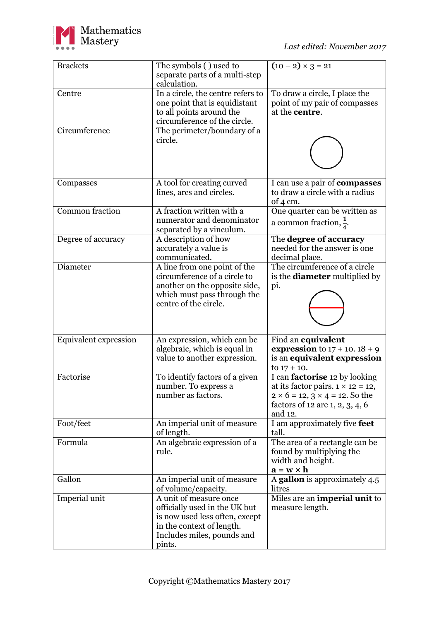

| <b>Brackets</b>              | The symbols () used to<br>separate parts of a multi-step<br>calculation.                                                                                       | $(10 - 2) \times 3 = 21$                                                                                                                                                       |
|------------------------------|----------------------------------------------------------------------------------------------------------------------------------------------------------------|--------------------------------------------------------------------------------------------------------------------------------------------------------------------------------|
| Centre                       | In a circle, the centre refers to<br>one point that is equidistant<br>to all points around the<br>circumference of the circle.                                 | To draw a circle, I place the<br>point of my pair of compasses<br>at the <b>centre</b> .                                                                                       |
| Circumference                | The perimeter/boundary of a<br>circle.                                                                                                                         |                                                                                                                                                                                |
| Compasses                    | A tool for creating curved<br>lines, arcs and circles.                                                                                                         | I can use a pair of compasses<br>to draw a circle with a radius<br>of $4 \text{ cm}$ .                                                                                         |
| <b>Common fraction</b>       | A fraction written with a<br>numerator and denominator<br>separated by a vinculum.                                                                             | One quarter can be written as<br>a common fraction, $\frac{1}{4}$ .                                                                                                            |
| Degree of accuracy           | A description of how<br>accurately a value is<br>communicated.                                                                                                 | The degree of accuracy<br>needed for the answer is one<br>decimal place.                                                                                                       |
| Diameter                     | A line from one point of the<br>circumference of a circle to<br>another on the opposite side,<br>which must pass through the<br>centre of the circle.          | The circumference of a circle<br>is the <b>diameter</b> multiplied by<br>pi.                                                                                                   |
| <b>Equivalent expression</b> | An expression, which can be<br>algebraic, which is equal in<br>value to another expression.                                                                    | Find an equivalent<br><b>expression</b> to $17 + 10.18 + 9$<br>is an equivalent expression<br>to $17 + 10$ .                                                                   |
| Factorise                    | To identify factors of a given<br>number. To express a<br>number as factors.                                                                                   | I can <b>factorise</b> 12 by looking<br>at its factor pairs. $1 \times 12 = 12$ ,<br>$2 \times 6 = 12, 3 \times 4 = 12$ . So the<br>factors of 12 are 1, 2, 3, 4, 6<br>and 12. |
| Foot/feet                    | An imperial unit of measure<br>of length.                                                                                                                      | I am approximately five feet<br>tall.                                                                                                                                          |
| Formula                      | An algebraic expression of a<br>rule.                                                                                                                          | The area of a rectangle can be<br>found by multiplying the<br>width and height.<br>$\mathbf{a} = \mathbf{w} \times \mathbf{h}$                                                 |
| Gallon                       | An imperial unit of measure<br>of volume/capacity.                                                                                                             | A gallon is approximately 4.5<br>litres                                                                                                                                        |
| Imperial unit                | A unit of measure once<br>officially used in the UK but<br>is now used less often, except<br>in the context of length.<br>Includes miles, pounds and<br>pints. | Miles are an imperial unit to<br>measure length.                                                                                                                               |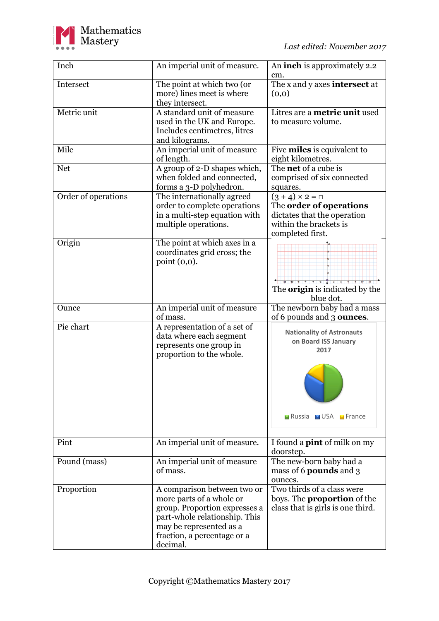

| Inch                | An imperial unit of measure.                           | An <b>inch</b> is approximately 2.2<br>cm.             |
|---------------------|--------------------------------------------------------|--------------------------------------------------------|
| Intersect           | The point at which two (or                             | The x and y axes <b>intersect</b> at                   |
|                     | more) lines meet is where                              | (0,0)                                                  |
|                     | they intersect.                                        |                                                        |
| Metric unit         | A standard unit of measure                             | Litres are a metric unit used                          |
|                     | used in the UK and Europe.                             | to measure volume.                                     |
|                     | Includes centimetres, litres                           |                                                        |
|                     | and kilograms.                                         |                                                        |
| Mile                | An imperial unit of measure                            | Five <b>miles</b> is equivalent to                     |
|                     | of length.                                             | eight kilometres.                                      |
| <b>Net</b>          | A group of 2-D shapes which,                           | The <b>net</b> of a cube is                            |
|                     | when folded and connected,                             | comprised of six connected                             |
|                     | forms a 3-D polyhedron.                                | squares.                                               |
| Order of operations | The internationally agreed                             | $(3 + 4) \times 2 = \Box$                              |
|                     | order to complete operations                           | The order of operations<br>dictates that the operation |
|                     | in a multi-step equation with                          | within the brackets is                                 |
|                     | multiple operations.                                   | completed first.                                       |
| Origin              | The point at which axes in a                           |                                                        |
|                     | coordinates grid cross; the                            |                                                        |
|                     | point $(0,0)$ .                                        |                                                        |
|                     |                                                        |                                                        |
|                     |                                                        |                                                        |
|                     |                                                        | The <b>origin</b> is indicated by the                  |
|                     |                                                        | blue dot.                                              |
| Ounce               | An imperial unit of measure                            | The newborn baby had a mass                            |
|                     | of mass.                                               | of 6 pounds and 3 <b>ounces</b> .                      |
| Pie chart           | A representation of a set of                           | <b>Nationality of Astronauts</b>                       |
|                     | data where each segment                                | on Board ISS January                                   |
|                     | represents one group in                                | 2017                                                   |
|                     | proportion to the whole.                               |                                                        |
|                     |                                                        |                                                        |
|                     |                                                        |                                                        |
|                     |                                                        |                                                        |
|                     |                                                        |                                                        |
|                     |                                                        |                                                        |
|                     |                                                        | <b>Exercise EXECUSA Exerce</b>                         |
|                     |                                                        |                                                        |
|                     |                                                        |                                                        |
| Pint                | An imperial unit of measure.                           | I found a <b>pint</b> of milk on my                    |
|                     |                                                        | doorstep.                                              |
| Pound (mass)        | An imperial unit of measure                            | The new-born baby had a                                |
|                     | of mass.                                               | mass of 6 pounds and 3                                 |
|                     |                                                        | ounces.                                                |
| Proportion          | A comparison between two or                            | Two thirds of a class were                             |
|                     | more parts of a whole or                               | boys. The <b>proportion</b> of the                     |
|                     | group. Proportion expresses a                          | class that is girls is one third.                      |
|                     | part-whole relationship. This                          |                                                        |
|                     | may be represented as a<br>fraction, a percentage or a |                                                        |
|                     | decimal.                                               |                                                        |
|                     |                                                        |                                                        |